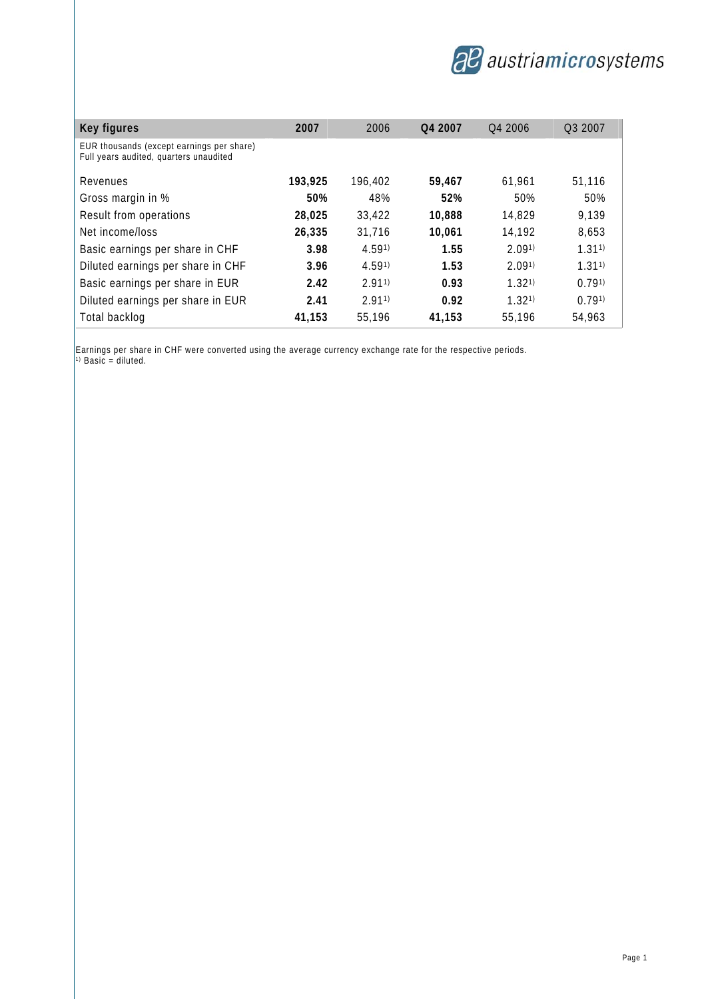

| Key figures                                                                         | 2007    | 2006    | Q4 2007 | O <sub>4</sub> 2006 | O <sub>3</sub> 2007 |
|-------------------------------------------------------------------------------------|---------|---------|---------|---------------------|---------------------|
| EUR thousands (except earnings per share)<br>Full years audited, quarters unaudited |         |         |         |                     |                     |
| Revenues                                                                            | 193,925 | 196,402 | 59,467  | 61,961              | 51,116              |
| Gross margin in %                                                                   | 50%     | 48%     | 52%     | 50%                 | 50%                 |
| Result from operations                                                              | 28,025  | 33,422  | 10,888  | 14,829              | 9,139               |
| Net income/loss                                                                     | 26,335  | 31,716  | 10,061  | 14,192              | 8,653               |
| Basic earnings per share in CHF                                                     | 3.98    | 4.591)  | 1.55    | 2.091               | 1.311               |
| Diluted earnings per share in CHF                                                   | 3.96    | 4.591)  | 1.53    | 2.091               | $1.31^{1}$          |
| Basic earnings per share in EUR                                                     | 2.42    | 2.911   | 0.93    | 1.321               | 0.791               |
| Diluted earnings per share in EUR                                                   | 2.41    | 2.911   | 0.92    | 1.321               | 0.791               |
| Total backlog                                                                       | 41,153  | 55,196  | 41.153  | 55.196              | 54,963              |

Earnings per share in CHF were converted using the average currency exchange rate for the respective periods. 1) Basic = diluted.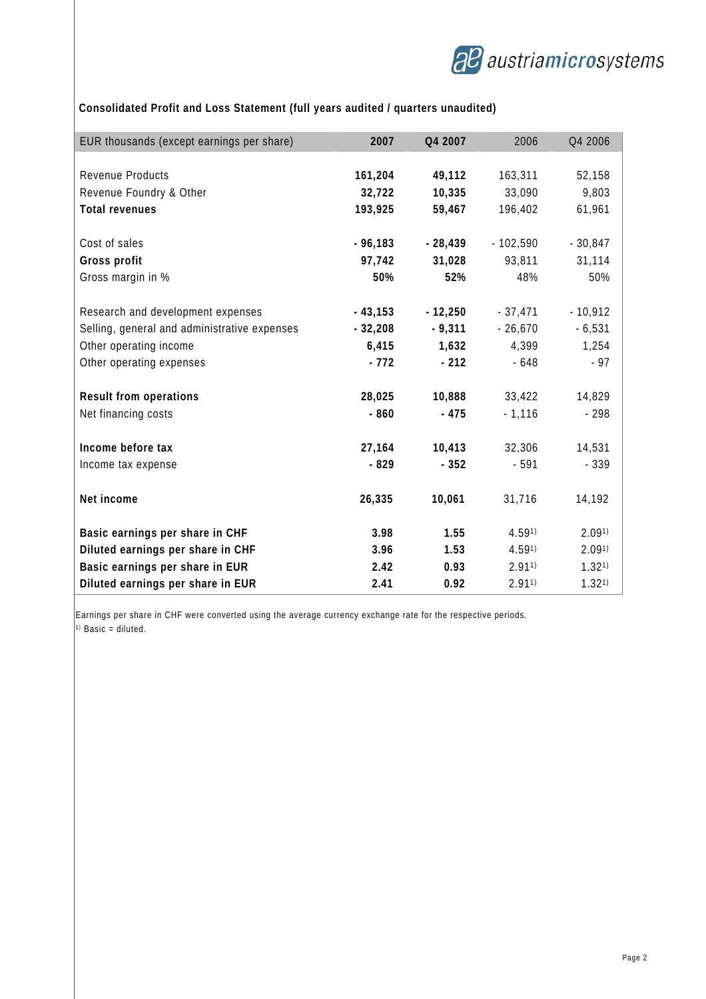

# **Consolidated Profit and Loss Statement (full years audited / quarters unaudited)**

| EUR thousands (except earnings per share)    | 2007      | Q4 2007   | 2006       | Q4 2006   |
|----------------------------------------------|-----------|-----------|------------|-----------|
|                                              |           |           |            |           |
| Revenue Products                             | 161,204   | 49,112    | 163,311    | 52,158    |
| Revenue Foundry & Other                      | 32,722    | 10,335    | 33,090     | 9,803     |
| <b>Total revenues</b>                        | 193,925   | 59,467    | 196,402    | 61,961    |
|                                              |           |           |            |           |
| Cost of sales                                | $-96,183$ | $-28,439$ | $-102,590$ | $-30,847$ |
| Gross profit                                 | 97,742    | 31,028    | 93,811     | 31,114    |
| Gross margin in %                            | 50%       | 52%       | 48%        | 50%       |
| Research and development expenses            | $-43,153$ | $-12,250$ | $-37,471$  | $-10,912$ |
| Selling, general and administrative expenses | $-32,208$ | $-9,311$  | $-26,670$  | $-6,531$  |
| Other operating income                       | 6,415     | 1,632     | 4,399      | 1,254     |
| Other operating expenses                     | $-772$    | $-212$    | $-648$     | $-97$     |
|                                              |           |           |            |           |
| <b>Result from operations</b>                | 28,025    | 10,888    | 33,422     | 14,829    |
| Net financing costs                          | $-860$    | $-475$    | $-1,116$   | $-298$    |
| Income before tax                            | 27,164    | 10,413    | 32,306     | 14,531    |
| Income tax expense                           | $-829$    | $-352$    | $-591$     | $-339$    |
|                                              |           |           |            |           |
| Net income                                   | 26,335    | 10,061    | 31,716     | 14,192    |
| Basic earnings per share in CHF              | 3.98      | 1.55      | 4.591)     | 2.091     |
| Diluted earnings per share in CHF            | 3.96      | 1.53      | 4.591)     | 2.091     |
| Basic earnings per share in EUR              | 2.42      | 0.93      | 2.911      | 1.321     |
| Diluted earnings per share in EUR            | 2.41      | 0.92      | 2.911      | 1.321     |

Earnings per share in CHF were converted using the average currency exchange rate for the respective periods.  $\left| \begin{smallmatrix} 1 \end{smallmatrix} \right|$  Basic = diluted.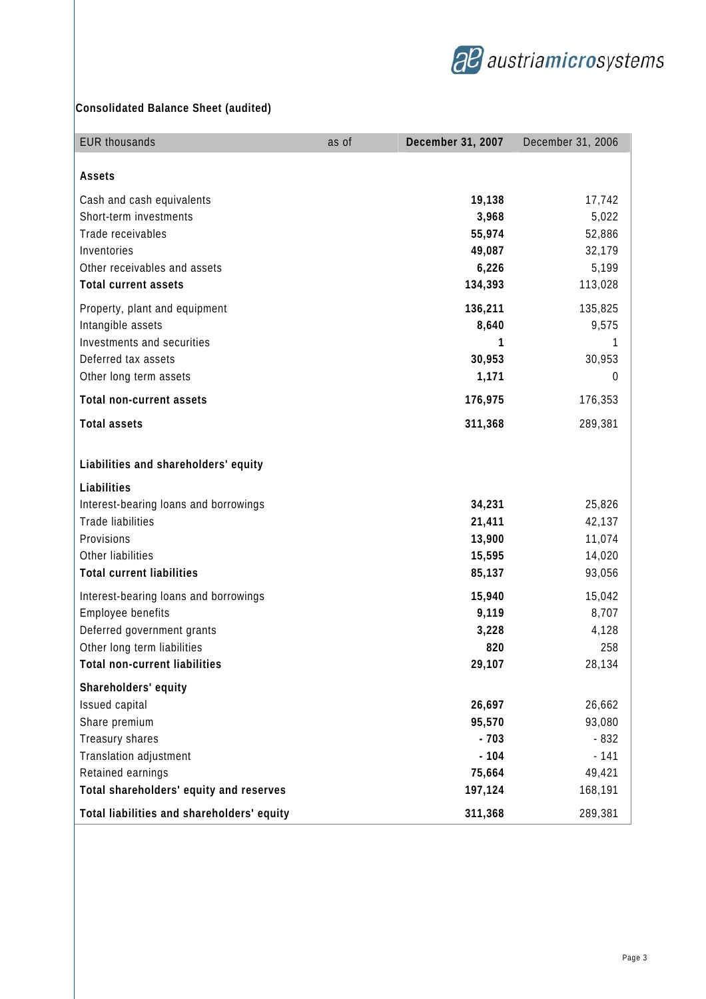

# **Consolidated Balance Sheet (audited)**

| <b>EUR thousands</b>                                                     | as of | December 31, 2007         | December 31, 2006         |
|--------------------------------------------------------------------------|-------|---------------------------|---------------------------|
| Assets                                                                   |       |                           |                           |
| Cash and cash equivalents<br>Short-term investments<br>Trade receivables |       | 19,138<br>3,968           | 17,742<br>5,022           |
| Inventories<br>Other receivables and assets                              |       | 55,974<br>49,087<br>6,226 | 52,886<br>32,179<br>5,199 |
| <b>Total current assets</b>                                              |       | 134,393                   | 113,028                   |
| Property, plant and equipment<br>Intangible assets                       |       | 136,211<br>8,640          | 135,825<br>9,575          |
| Investments and securities<br>Deferred tax assets                        |       | 1<br>30,953               | 1<br>30,953               |
| Other long term assets                                                   |       | 1,171                     | 0                         |
| <b>Total non-current assets</b>                                          |       | 176,975                   | 176,353                   |
| <b>Total assets</b>                                                      |       | 311,368                   | 289,381                   |
| Liabilities and shareholders' equity                                     |       |                           |                           |
| Liabilities<br>Interest-bearing loans and borrowings                     |       | 34,231                    | 25,826                    |
| Trade liabilities<br>Provisions                                          |       | 21,411<br>13,900          | 42,137<br>11,074          |
| Other liabilities                                                        |       | 15,595                    | 14,020                    |
| <b>Total current liabilities</b>                                         |       | 85,137                    | 93,056                    |
| Interest-bearing loans and borrowings                                    |       | 15,940                    | 15,042                    |
| Employee benefits                                                        |       | 9,119                     | 8,707                     |
| Deferred government grants                                               |       | 3,228                     | 4,128                     |
| Other long term liabilities<br>Total non-current liabilities             |       | 820                       | 258<br>28,134             |
|                                                                          |       | 29,107                    |                           |
| Shareholders' equity                                                     |       |                           |                           |
| Issued capital                                                           |       | 26,697<br>95,570          | 26,662<br>93,080          |
| Share premium<br>Treasury shares                                         |       | $-703$                    | $-832$                    |
| Translation adjustment                                                   |       | $-104$                    | $-141$                    |
| Retained earnings                                                        |       | 75,664                    | 49,421                    |
| Total shareholders' equity and reserves                                  |       | 197,124                   | 168,191                   |
| Total liabilities and shareholders' equity                               |       | 311,368                   | 289,381                   |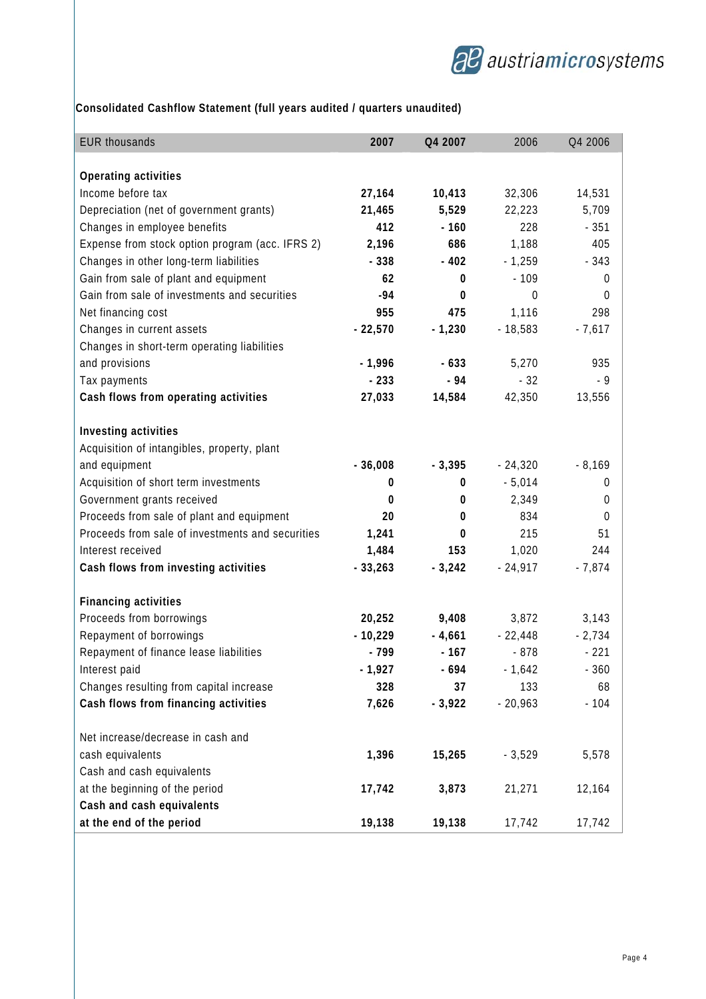

# **Consolidated Cashflow Statement (full years audited / quarters unaudited)**

| <b>EUR thousands</b>                                                                                                                                                                                                                                                                                                                                                                                                                                                               | 2007                                                                                  | Q4 2007                                                                                 | 2006                                                                                               | Q4 2006                                                                                 |
|------------------------------------------------------------------------------------------------------------------------------------------------------------------------------------------------------------------------------------------------------------------------------------------------------------------------------------------------------------------------------------------------------------------------------------------------------------------------------------|---------------------------------------------------------------------------------------|-----------------------------------------------------------------------------------------|----------------------------------------------------------------------------------------------------|-----------------------------------------------------------------------------------------|
|                                                                                                                                                                                                                                                                                                                                                                                                                                                                                    |                                                                                       |                                                                                         |                                                                                                    |                                                                                         |
| Operating activities                                                                                                                                                                                                                                                                                                                                                                                                                                                               |                                                                                       |                                                                                         |                                                                                                    |                                                                                         |
| Income before tax                                                                                                                                                                                                                                                                                                                                                                                                                                                                  | 27,164                                                                                | 10,413                                                                                  | 32,306                                                                                             | 14,531                                                                                  |
| Depreciation (net of government grants)                                                                                                                                                                                                                                                                                                                                                                                                                                            | 21,465                                                                                | 5,529                                                                                   | 22,223                                                                                             | 5,709                                                                                   |
| Changes in employee benefits                                                                                                                                                                                                                                                                                                                                                                                                                                                       | 412                                                                                   | $-160$                                                                                  | 228                                                                                                | $-351$                                                                                  |
| Expense from stock option program (acc. IFRS 2)                                                                                                                                                                                                                                                                                                                                                                                                                                    | 2,196                                                                                 | 686                                                                                     | 1,188                                                                                              | 405                                                                                     |
| Changes in other long-term liabilities                                                                                                                                                                                                                                                                                                                                                                                                                                             | $-338$                                                                                | $-402$                                                                                  | $-1,259$                                                                                           | $-343$                                                                                  |
| Gain from sale of plant and equipment                                                                                                                                                                                                                                                                                                                                                                                                                                              | 62                                                                                    | 0                                                                                       | $-109$                                                                                             | $\boldsymbol{0}$                                                                        |
| Gain from sale of investments and securities                                                                                                                                                                                                                                                                                                                                                                                                                                       | $-94$                                                                                 | 0                                                                                       | $\theta$                                                                                           | $\boldsymbol{0}$                                                                        |
| Net financing cost                                                                                                                                                                                                                                                                                                                                                                                                                                                                 | 955                                                                                   | 475                                                                                     | 1,116                                                                                              | 298                                                                                     |
| Changes in current assets                                                                                                                                                                                                                                                                                                                                                                                                                                                          | $-22,570$                                                                             | $-1,230$                                                                                | $-18,583$                                                                                          | $-7,617$                                                                                |
| Changes in short-term operating liabilities                                                                                                                                                                                                                                                                                                                                                                                                                                        |                                                                                       |                                                                                         |                                                                                                    |                                                                                         |
| and provisions                                                                                                                                                                                                                                                                                                                                                                                                                                                                     | $-1,996$                                                                              | $-633$                                                                                  | 5,270                                                                                              | 935                                                                                     |
| Tax payments                                                                                                                                                                                                                                                                                                                                                                                                                                                                       | $-233$                                                                                | $-94$                                                                                   | $-32$                                                                                              | $-9$                                                                                    |
| Cash flows from operating activities                                                                                                                                                                                                                                                                                                                                                                                                                                               | 27,033                                                                                | 14,584                                                                                  | 42,350                                                                                             | 13,556                                                                                  |
| Investing activities                                                                                                                                                                                                                                                                                                                                                                                                                                                               |                                                                                       |                                                                                         |                                                                                                    |                                                                                         |
|                                                                                                                                                                                                                                                                                                                                                                                                                                                                                    |                                                                                       |                                                                                         |                                                                                                    |                                                                                         |
|                                                                                                                                                                                                                                                                                                                                                                                                                                                                                    |                                                                                       |                                                                                         |                                                                                                    |                                                                                         |
|                                                                                                                                                                                                                                                                                                                                                                                                                                                                                    |                                                                                       |                                                                                         |                                                                                                    |                                                                                         |
|                                                                                                                                                                                                                                                                                                                                                                                                                                                                                    |                                                                                       |                                                                                         |                                                                                                    |                                                                                         |
|                                                                                                                                                                                                                                                                                                                                                                                                                                                                                    |                                                                                       |                                                                                         |                                                                                                    |                                                                                         |
|                                                                                                                                                                                                                                                                                                                                                                                                                                                                                    |                                                                                       |                                                                                         |                                                                                                    |                                                                                         |
|                                                                                                                                                                                                                                                                                                                                                                                                                                                                                    |                                                                                       |                                                                                         |                                                                                                    |                                                                                         |
|                                                                                                                                                                                                                                                                                                                                                                                                                                                                                    |                                                                                       |                                                                                         |                                                                                                    |                                                                                         |
|                                                                                                                                                                                                                                                                                                                                                                                                                                                                                    |                                                                                       |                                                                                         |                                                                                                    |                                                                                         |
| <b>Financing activities</b>                                                                                                                                                                                                                                                                                                                                                                                                                                                        |                                                                                       |                                                                                         |                                                                                                    |                                                                                         |
| Proceeds from borrowings                                                                                                                                                                                                                                                                                                                                                                                                                                                           | 20,252                                                                                | 9,408                                                                                   | 3,872                                                                                              | 3,143                                                                                   |
| Repayment of borrowings                                                                                                                                                                                                                                                                                                                                                                                                                                                            | $-10,229$                                                                             | $-4,661$                                                                                | $-22,448$                                                                                          | $-2,734$                                                                                |
| Repayment of finance lease liabilities                                                                                                                                                                                                                                                                                                                                                                                                                                             | - 799                                                                                 | $-167$                                                                                  | $-878$                                                                                             | $-221$                                                                                  |
| Interest paid                                                                                                                                                                                                                                                                                                                                                                                                                                                                      | $-1,927$                                                                              | $-694$                                                                                  | $-1,642$                                                                                           | $-360$                                                                                  |
| Changes resulting from capital increase                                                                                                                                                                                                                                                                                                                                                                                                                                            | 328                                                                                   | 37                                                                                      | 133                                                                                                | 68                                                                                      |
| Cash flows from financing activities                                                                                                                                                                                                                                                                                                                                                                                                                                               | 7,626                                                                                 | $-3,922$                                                                                | $-20,963$                                                                                          | $-104$                                                                                  |
|                                                                                                                                                                                                                                                                                                                                                                                                                                                                                    |                                                                                       |                                                                                         |                                                                                                    |                                                                                         |
|                                                                                                                                                                                                                                                                                                                                                                                                                                                                                    |                                                                                       |                                                                                         |                                                                                                    |                                                                                         |
|                                                                                                                                                                                                                                                                                                                                                                                                                                                                                    |                                                                                       |                                                                                         |                                                                                                    |                                                                                         |
|                                                                                                                                                                                                                                                                                                                                                                                                                                                                                    |                                                                                       |                                                                                         |                                                                                                    |                                                                                         |
|                                                                                                                                                                                                                                                                                                                                                                                                                                                                                    |                                                                                       |                                                                                         |                                                                                                    |                                                                                         |
|                                                                                                                                                                                                                                                                                                                                                                                                                                                                                    |                                                                                       |                                                                                         |                                                                                                    |                                                                                         |
| Acquisition of intangibles, property, plant<br>and equipment<br>Acquisition of short term investments<br>Government grants received<br>Proceeds from sale of plant and equipment<br>Proceeds from sale of investments and securities<br>Interest received<br>Cash flows from investing activities<br>Net increase/decrease in cash and<br>cash equivalents<br>Cash and cash equivalents<br>at the beginning of the period<br>Cash and cash equivalents<br>at the end of the period | $-36,008$<br>0<br>0<br>20<br>1,241<br>1,484<br>$-33,263$<br>1,396<br>17,742<br>19,138 | $-3,395$<br>0<br>0<br>0<br>$\mathbf{0}$<br>153<br>$-3,242$<br>15,265<br>3,873<br>19,138 | $-24,320$<br>$-5,014$<br>2,349<br>834<br>215<br>1,020<br>$-24,917$<br>$-3,529$<br>21,271<br>17,742 | $-8,169$<br>0<br>$\mathbf 0$<br>0<br>51<br>244<br>$-7,874$<br>5,578<br>12,164<br>17,742 |